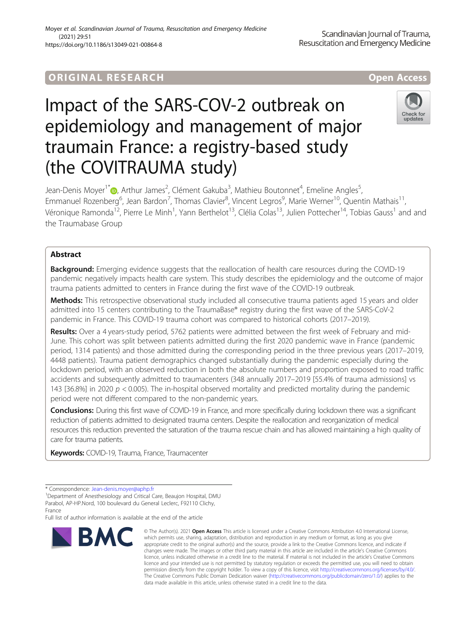# ORIGINA L R E S EA RCH Open Access

# Impact of the SARS-COV-2 outbreak on epidemiology and management of major traumain France: a registry-based study (the COVITRAUMA study)



Jean-Denis Moyer<sup>1\*</sup>©[,](http://orcid.org/0000-0002-4244-7340) Arthur James<sup>2</sup>, Clément Gakuba<sup>3</sup>, Mathieu Boutonnet<sup>4</sup>, Emeline Angles<sup>5</sup> , Emmanuel Rozenberg<sup>6</sup>, Jean Bardon<sup>7</sup>, Thomas Clavier<sup>8</sup>, Vincent Legros<sup>9</sup>, Marie Werner<sup>10</sup>, Quentin Mathais<sup>11</sup>, Véronique Ramonda<sup>12</sup>, Pierre Le Minh<sup>1</sup>, Yann Berthelot<sup>13</sup>, Clélia Colas<sup>13</sup>, Julien Pottecher<sup>14</sup>, Tobias Gauss<sup>1</sup> and and the Traumabase Group

## Abstract

**Background:** Emerging evidence suggests that the reallocation of health care resources during the COVID-19 pandemic negatively impacts health care system. This study describes the epidemiology and the outcome of major trauma patients admitted to centers in France during the first wave of the COVID-19 outbreak.

Methods: This retrospective observational study included all consecutive trauma patients aged 15 years and older admitted into 15 centers contributing to the TraumaBase® registry during the first wave of the SARS-CoV-2 pandemic in France. This COVID-19 trauma cohort was compared to historical cohorts (2017–2019).

Results: Over a 4 years-study period, 5762 patients were admitted between the first week of February and mid-June. This cohort was split between patients admitted during the first 2020 pandemic wave in France (pandemic period, 1314 patients) and those admitted during the corresponding period in the three previous years (2017–2019, 4448 patients). Trauma patient demographics changed substantially during the pandemic especially during the lockdown period, with an observed reduction in both the absolute numbers and proportion exposed to road traffic accidents and subsequently admitted to traumacenters (348 annually 2017–2019 [55.4% of trauma admissions] vs 143 [36.8%] in 2020  $p < 0.005$ ). The in-hospital observed mortality and predicted mortality during the pandemic period were not different compared to the non-pandemic years.

Conclusions: During this first wave of COVID-19 in France, and more specifically during lockdown there was a significant reduction of patients admitted to designated trauma centers. Despite the reallocation and reorganization of medical resources this reduction prevented the saturation of the trauma rescue chain and has allowed maintaining a high quality of care for trauma patients.

Keywords: COVID-19, Trauma, France, Traumacenter

France

Full list of author information is available at the end of the article



<sup>©</sup> The Author(s), 2021 **Open Access** This article is licensed under a Creative Commons Attribution 4.0 International License, which permits use, sharing, adaptation, distribution and reproduction in any medium or format, as long as you give appropriate credit to the original author(s) and the source, provide a link to the Creative Commons licence, and indicate if changes were made. The images or other third party material in this article are included in the article's Creative Commons licence, unless indicated otherwise in a credit line to the material. If material is not included in the article's Creative Commons licence and your intended use is not permitted by statutory regulation or exceeds the permitted use, you will need to obtain permission directly from the copyright holder. To view a copy of this licence, visit [http://creativecommons.org/licenses/by/4.0/.](http://creativecommons.org/licenses/by/4.0/) The Creative Commons Public Domain Dedication waiver [\(http://creativecommons.org/publicdomain/zero/1.0/](http://creativecommons.org/publicdomain/zero/1.0/)) applies to the data made available in this article, unless otherwise stated in a credit line to the data.

<sup>\*</sup> Correspondence: [Jean-denis.moyer@aphp.fr](mailto:Jean-denis.moyer@aphp.fr) <sup>1</sup>

Department of Anesthesiology and Critical Care, Beaujon Hospital, DMU Parabol, AP-HP.Nord, 100 boulevard du General Leclerc, F92110 Clichy,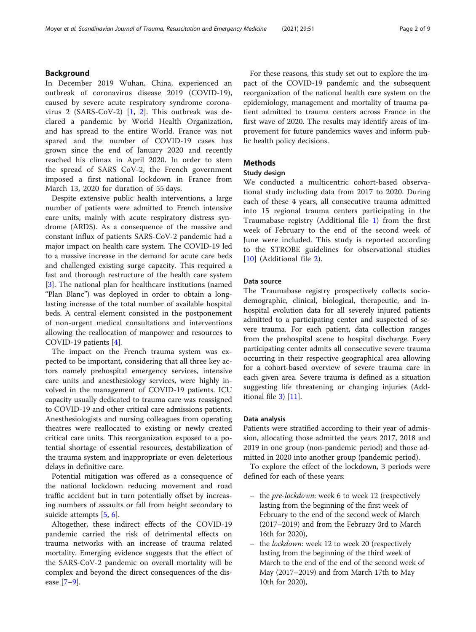### Background

In December 2019 Wuhan, China, experienced an outbreak of coronavirus disease 2019 (COVID-19), caused by severe acute respiratory syndrome coronavirus 2 (SARS-CoV-2) [\[1](#page-7-0), [2\]](#page-7-0). This outbreak was declared a pandemic by World Health Organization, and has spread to the entire World. France was not spared and the number of COVID-19 cases has grown since the end of January 2020 and recently reached his climax in April 2020. In order to stem the spread of SARS CoV-2, the French government imposed a first national lockdown in France from March 13, 2020 for duration of 55 days.

Despite extensive public health interventions, a large number of patients were admitted to French intensive care units, mainly with acute respiratory distress syndrome (ARDS). As a consequence of the massive and constant influx of patients SARS-CoV-2 pandemic had a major impact on health care system. The COVID-19 led to a massive increase in the demand for acute care beds and challenged existing surge capacity. This required a fast and thorough restructure of the health care system [[3\]](#page-7-0). The national plan for healthcare institutions (named "Plan Blanc") was deployed in order to obtain a longlasting increase of the total number of available hospital beds. A central element consisted in the postponement of non-urgent medical consultations and interventions allowing the reallocation of manpower and resources to COVID-19 patients [[4\]](#page-7-0).

The impact on the French trauma system was expected to be important, considering that all three key actors namely prehospital emergency services, intensive care units and anesthesiology services, were highly involved in the management of COVID-19 patients. ICU capacity usually dedicated to trauma care was reassigned to COVID-19 and other critical care admissions patients. Anesthesiologists and nursing colleagues from operating theatres were reallocated to existing or newly created critical care units. This reorganization exposed to a potential shortage of essential resources, destabilization of the trauma system and inappropriate or even deleterious delays in definitive care.

Potential mitigation was offered as a consequence of the national lockdown reducing movement and road traffic accident but in turn potentially offset by increasing numbers of assaults or fall from height secondary to suicide attempts [\[5](#page-7-0), [6](#page-7-0)].

Altogether, these indirect effects of the COVID-19 pandemic carried the risk of detrimental effects on trauma networks with an increase of trauma related mortality. Emerging evidence suggests that the effect of the SARS-CoV-2 pandemic on overall mortality will be complex and beyond the direct consequences of the disease [[7](#page-7-0)–[9\]](#page-8-0).

For these reasons, this study set out to explore the impact of the COVID-19 pandemic and the subsequent reorganization of the national health care system on the epidemiology, management and mortality of trauma patient admitted to trauma centers across France in the first wave of 2020. The results may identify areas of improvement for future pandemics waves and inform public health policy decisions.

### Methods

### Study design

We conducted a multicentric cohort-based observational study including data from 2017 to 2020. During each of these 4 years, all consecutive trauma admitted into 15 regional trauma centers participating in the Traumabase registry (Additional file [1](#page-6-0)) from the first week of February to the end of the second week of June were included. This study is reported according to the STROBE guidelines for observational studies [[10\]](#page-8-0) (Additional file [2](#page-6-0)).

#### Data source

The Traumabase registry prospectively collects sociodemographic, clinical, biological, therapeutic, and inhospital evolution data for all severely injured patients admitted to a participating center and suspected of severe trauma. For each patient, data collection ranges from the prehospital scene to hospital discharge. Every participating center admits all consecutive severe trauma occurring in their respective geographical area allowing for a cohort-based overview of severe trauma care in each given area. Severe trauma is defined as a situation suggesting life threatening or changing injuries (Additional file [3\)](#page-6-0) [[11\]](#page-8-0).

#### Data analysis

Patients were stratified according to their year of admission, allocating those admitted the years 2017, 2018 and 2019 in one group (non-pandemic period) and those admitted in 2020 into another group (pandemic period).

To explore the effect of the lockdown, 3 periods were defined for each of these years:

- the pre-lockdown: week 6 to week 12 (respectively lasting from the beginning of the first week of February to the end of the second week of March (2017–2019) and from the February 3rd to March 16th for 2020),
- the lockdown: week 12 to week 20 (respectively lasting from the beginning of the third week of March to the end of the end of the second week of May (2017–2019) and from March 17th to May 10th for 2020),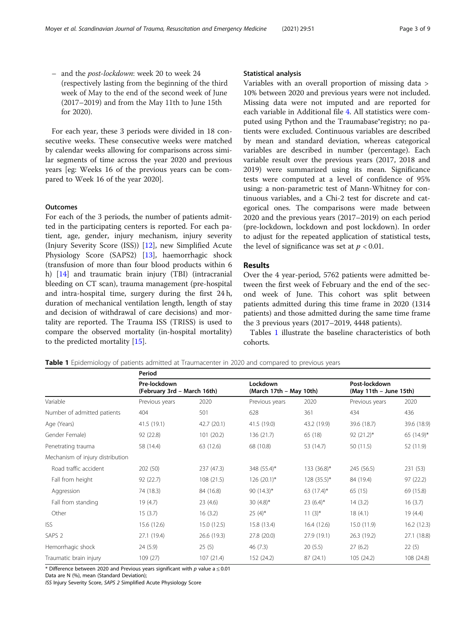<span id="page-2-0"></span>– and the post-lockdown: week 20 to week 24 (respectively lasting from the beginning of the third week of May to the end of the second week of June (2017–2019) and from the May 11th to June 15th for 2020).

For each year, these 3 periods were divided in 18 consecutive weeks. These consecutive weeks were matched by calendar weeks allowing for comparisons across similar segments of time across the year 2020 and previous years [eg: Weeks 16 of the previous years can be compared to Week 16 of the year 2020].

#### **Outcomes**

For each of the 3 periods, the number of patients admitted in the participating centers is reported. For each patient, age, gender, injury mechanism, injury severity (Injury Severity Score (ISS)) [\[12](#page-8-0)], new Simplified Acute Physiology Score (SAPS2) [\[13](#page-8-0)], haemorrhagic shock (transfusion of more than four blood products within 6 h) [[14\]](#page-8-0) and traumatic brain injury (TBI) (intracranial bleeding on CT scan), trauma management (pre-hospital and intra-hospital time, surgery during the first 24 h, duration of mechanical ventilation length, length of stay and decision of withdrawal of care decisions) and mortality are reported. The Trauma ISS (TRISS) is used to compare the observed mortality (in-hospital mortality) to the predicted mortality [\[15](#page-8-0)].

#### Statistical analysis

Variables with an overall proportion of missing data > 10% between 2020 and previous years were not included. Missing data were not imputed and are reported for each variable in Additional file [4.](#page-6-0) All statistics were computed using Python and the Traumabase®registry; no patients were excluded. Continuous variables are described by mean and standard deviation, whereas categorical variables are described in number (percentage). Each variable result over the previous years (2017, 2018 and 2019) were summarized using its mean. Significance tests were computed at a level of confidence of 95% using: a non-parametric test of Mann-Whitney for continuous variables, and a Chi-2 test for discrete and categorical ones. The comparisons were made between 2020 and the previous years (2017–2019) on each period (pre-lockdown, lockdown and post lockdown). In order to adjust for the repeated application of statistical tests, the level of significance was set at  $p < 0.01$ .

### Results

Over the 4 year-period, 5762 patients were admitted between the first week of February and the end of the second week of June. This cohort was split between patients admitted during this time frame in 2020 (1314 patients) and those admitted during the same time frame the 3 previous years (2017–2019, 4448 patients).

Tables 1 illustrate the baseline characteristics of both cohorts.

Table 1 Epidemiology of patients admitted at Traumacenter in 2020 and compared to previous years

|                                  | Period                                      |             |                                     |                |                                         |             |
|----------------------------------|---------------------------------------------|-------------|-------------------------------------|----------------|-----------------------------------------|-------------|
| Variable                         | Pre-lockdown<br>(February 3rd - March 16th) |             | Lockdown<br>(March 17th – May 10th) |                | Post-lockdown<br>(May 11th - June 15th) |             |
|                                  | Previous years                              | 2020        | Previous years                      | 2020           | Previous years                          | 2020        |
| Number of admitted patients      | 404                                         | 501         | 628                                 | 361            | 434                                     | 436         |
| Age (Years)                      | 41.5(19.1)                                  | 42.7 (20.1) | 41.5 (19.0)                         | 43.2 (19.9)    | 39.6 (18.7)                             | 39.6 (18.9) |
| Gender Female)                   | 92 (22.8)                                   | 101 (20.2)  | 136(21.7)                           | 65 (18)        | 92 $(21.2)$ *                           | 65 (14.9)*  |
| Penetrating trauma               | 58 (14.4)                                   | 63 (12.6)   | 68 (10.8)                           | 53 (14.7)      | 50 (11.5)                               | 52 (11.9)   |
| Mechanism of injury distribution |                                             |             |                                     |                |                                         |             |
| Road traffic accident            | 202 (50)                                    | 237 (47.3)  | 348 (55.4)*                         | $133 (36.8)^*$ | 245 (56.5)                              | 231 (53)    |
| Fall from height                 | 92(22.7)                                    | 108(21.5)   | $126(20.1)^*$                       | $128(35.5)^*$  | 84 (19.4)                               | 97 (22.2)   |
| Aggression                       | 74 (18.3)                                   | 84 (16.8)   | 90 $(14.3)^*$                       | 63 $(17.4)^*$  | 65 (15)                                 | 69 (15.8)   |
| Fall from standing               | 19(4.7)                                     | 23(4.6)     | 30 $(4.8)$ *                        | 23 $(6.4)^*$   | 14(3.2)                                 | 16(3.7)     |
| Other                            | 15(3.7)                                     | 16(3.2)     | $25(4)^{*}$                         | $11(3)^{*}$    | 18(4.1)                                 | 19(4.4)     |
| <b>ISS</b>                       | 15.6 (12.6)                                 | 15.0(12.5)  | 15.8 (13.4)                         | 16.4 (12.6)    | 15.0 (11.9)                             | 16.2(12.3)  |
| SAPS <sub>2</sub>                | 27.1 (19.4)                                 | 26.6 (19.3) | 27.8 (20.0)                         | 27.9 (19.1)    | 26.3 (19.2)                             | 27.1 (18.8) |
| Hemorrhagic shock                | 24 (5.9)                                    | 25(5)       | 46(7.3)                             | 20(5.5)        | 27(6.2)                                 | 22(5)       |
| Traumatic brain injury           | 109(27)                                     | 107(21.4)   | 152 (24.2)                          | 87(24.1)       | 105 (24.2)                              | 108 (24.8)  |

\* Difference between 2020 and Previous years significant with p value a  $\leq 0.01$ 

Data are N (%), mean (Standard Deviation);

ISS Injury Severity Score, SAPS 2 Simplified Acute Physiology Score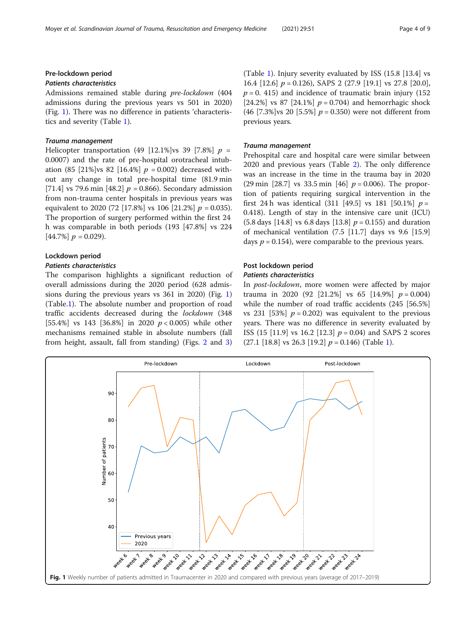### Pre-lockdown period

Admissions remained stable during pre-lockdown (404 admissions during the previous years vs 501 in 2020) (Fig. 1). There was no difference in patients 'characteristics and severity (Table [1](#page-2-0)).

Helicopter transportation (49 [12.1%]vs 39 [7.8%]  $p =$ 0.0007) and the rate of pre-hospital orotracheal intubation (85 [21%]vs 82 [16.4%]  $p = 0.002$ ) decreased without any change in total pre-hospital time (81.9 min [71.4] vs 79.6 min [48.2]  $p = 0.866$ ). Secondary admission from non-trauma center hospitals in previous years was equivalent to 2020 (72 [17.8%] vs 106 [21.2%]  $p = 0.035$ ). The proportion of surgery performed within the first 24 h was comparable in both periods (193 [47.8%] vs 224  $[44.7\%] p = 0.029$ .

#### Lockdown period

The comparison highlights a significant reduction of overall admissions during the 2020 period (628 admissions during the previous years vs 361 in 2020) (Fig. 1) (Table[.1\)](#page-2-0). The absolute number and proportion of road traffic accidents decreased during the lockdown (348 [55.4%] vs 143 [36.8%] in 2020  $p < 0.005$ ) while other mechanisms remained stable in absolute numbers (fall from height, assault, fall from standing) (Figs. [2](#page-4-0) and [3](#page-4-0)) (Table [1](#page-2-0)). Injury severity evaluated by ISS (15.8 [13.4] vs 16.4  $[12.6]$   $p = 0.126$ , SAPS 2  $(27.9)$   $[19.1]$  vs 27.8  $[20.0]$ ,  $p = 0$ . 415) and incidence of traumatic brain injury (152) [24.2%] vs 87 [24.1%]  $p = 0.704$ ) and hemorrhagic shock (46 [7.3%]vs 20 [5.5%]  $p = 0.350$ ) were not different from previous years.

Prehospital care and hospital care were similar between 2020 and previous years (Table [2\)](#page-5-0). The only difference was an increase in the time in the trauma bay in 2020 (29 min [28.7] vs 33.5 min [46]  $p = 0.006$ ). The proportion of patients requiring surgical intervention in the first 24 h was identical (311 [49.5] vs 181 [50.1%]  $p =$ 0.418). Length of stay in the intensive care unit (ICU)  $(5.8 \text{ days} \, [14.8] \text{ vs } 6.8 \text{ days} \, [13.8] \, p = 0.155)$  and duration of mechanical ventilation (7.5 [11.7] days vs 9.6 [15.9] days  $p = 0.154$ , were comparable to the previous years.

# Post lockdown period

In post-lockdown, more women were affected by major trauma in 2020 (92 [21.2%] vs 65 [14.9%]  $p = 0.004$ ] while the number of road traffic accidents (245 [56.5%] vs 231 [53%]  $p = 0.202$ ) was equivalent to the previous years. There was no difference in severity evaluated by ISS (15 [11.9] vs 16.2 [12.3]  $p = 0.04$ ) and SAPS 2 scores  $(27.1 \; [18.8] \; \text{vs} \; 26.3 \; [19.2] \; p = 0.146) \; \text{(Table 1)}.$  $(27.1 \; [18.8] \; \text{vs} \; 26.3 \; [19.2] \; p = 0.146) \; \text{(Table 1)}.$  $(27.1 \; [18.8] \; \text{vs} \; 26.3 \; [19.2] \; p = 0.146) \; \text{(Table 1)}.$ 

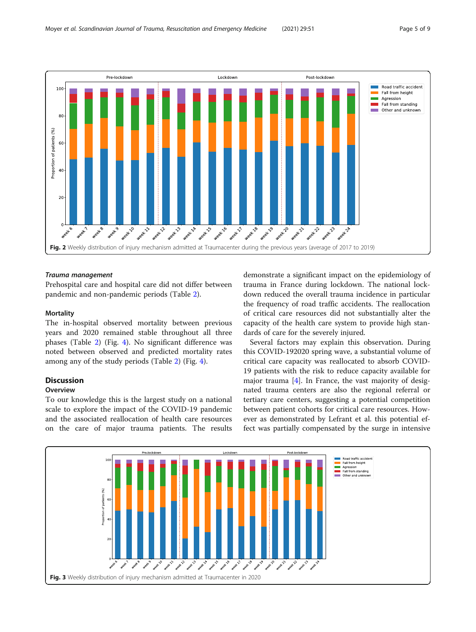<span id="page-4-0"></span>![](_page_4_Figure_2.jpeg)

Prehospital care and hospital care did not differ between pandemic and non-pandemic periods (Table [2\)](#page-5-0).

### **Mortality**

The in-hospital observed mortality between previous years and 2020 remained stable throughout all three phases (Table [2](#page-5-0)) (Fig. [4](#page-5-0)). No significant difference was noted between observed and predicted mortality rates among any of the study periods (Table [2](#page-5-0)) (Fig. [4\)](#page-5-0).

### Discussion

### **Overview**

To our knowledge this is the largest study on a national scale to explore the impact of the COVID-19 pandemic and the associated reallocation of health care resources on the care of major trauma patients. The results demonstrate a significant impact on the epidemiology of trauma in France during lockdown. The national lockdown reduced the overall trauma incidence in particular the frequency of road traffic accidents. The reallocation of critical care resources did not substantially alter the capacity of the health care system to provide high standards of care for the severely injured.

Several factors may explain this observation. During this COVID-192020 spring wave, a substantial volume of critical care capacity was reallocated to absorb COVID-19 patients with the risk to reduce capacity available for major trauma [[4](#page-7-0)]. In France, the vast majority of designated trauma centers are also the regional referral or tertiary care centers, suggesting a potential competition between patient cohorts for critical care resources. However as demonstrated by Lefrant et al. this potential effect was partially compensated by the surge in intensive

![](_page_4_Figure_12.jpeg)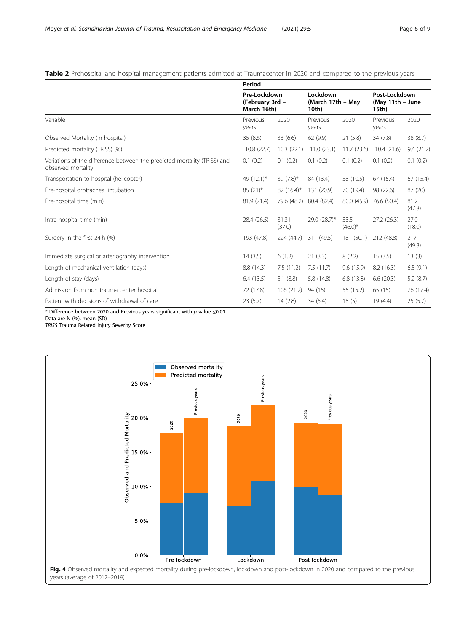### <span id="page-5-0"></span>Table 2 Prehospital and hospital management patients admitted at Traumacenter in 2020 and compared to the previous years

|                                                                                                | Period                                         |                 |                                        |                    |                                            |                |  |  |  |  |
|------------------------------------------------------------------------------------------------|------------------------------------------------|-----------------|----------------------------------------|--------------------|--------------------------------------------|----------------|--|--|--|--|
|                                                                                                | Pre-Lockdown<br>(February 3rd -<br>March 16th) |                 | Lockdown<br>(March 17th - May<br>10th) |                    | Post-Lockdown<br>(May 11th - June<br>15th) |                |  |  |  |  |
| Variable                                                                                       | Previous<br>years                              | 2020            | Previous<br>years                      | 2020               | Previous<br>years                          | 2020           |  |  |  |  |
| Observed Mortality (in hospital)                                                               | 35(8.6)                                        | 33(6.6)         | 62(9.9)                                | 21(5.8)            | 34(7.8)                                    | 38(8.7)        |  |  |  |  |
| Predicted mortality (TRISS) (%)                                                                | 10.8(22.7)                                     | 10.3(22.1)      | 11.0(23.1)                             | 11.7(23.6)         | 10.4(21.6)                                 | 9.4(21.2)      |  |  |  |  |
| Variations of the difference between the predicted mortality (TRISS) and<br>observed mortality | 0.1(0.2)                                       | 0.1(0.2)        | 0.1(0.2)                               | 0.1(0.2)           | 0.1(0.2)                                   | 0.1(0.2)       |  |  |  |  |
| Transportation to hospital (helicopter)                                                        | 49 (12.1)*                                     | 39 $(7.8)$ *    | 84 (13.4)                              | 38 (10.5)          | 67 (15.4)                                  | 67 (15.4)      |  |  |  |  |
| Pre-hospital orotracheal intubation                                                            | $85(21)$ *                                     | $82(16.4)^*$    | 131 (20.9)                             | 70 (19.4)          | 98 (22.6)                                  | 87(20)         |  |  |  |  |
| Pre-hospital time (min)                                                                        | 81.9 (71.4)                                    | 79.6 (48.2)     | 80.4 (82.4)                            | 80.0 (45.9)        | 76.6 (50.4)                                | 81.2<br>(47.8) |  |  |  |  |
| Intra-hospital time (min)                                                                      | 28.4 (26.5)                                    | 31.31<br>(37.0) | 29.0 (28.7)*                           | 33.5<br>$(46.0)^*$ | 27.2(26.3)                                 | 27.0<br>(18.0) |  |  |  |  |
| Surgery in the first 24 h (%)                                                                  | 193 (47.8)                                     | 224 (44.7)      | 311 (49.5)                             | 181 (50.1)         | 212 (48.8)                                 | 217<br>(49.8)  |  |  |  |  |
| Immediate surgical or arteriography intervention                                               | 14(3.5)                                        | 6(1.2)          | 21(3.3)                                | 8(2.2)             | 15(3.5)                                    | 13(3)          |  |  |  |  |
| Length of mechanical ventilation (days)                                                        | 8.8 (14.3)                                     | 7.5(11.2)       | 7.5(11.7)                              | 9.6(15.9)          | 8.2(16.3)                                  | 6.5(9.1)       |  |  |  |  |
| Length of stay (days)                                                                          | 6.4(13.5)                                      | 5.1(8.8)        | 5.8 (14.8)                             | 6.8(13.8)          | 6.6(20.3)                                  | 5.2(8.7)       |  |  |  |  |
| Admission from non trauma center hospital                                                      | 72 (17.8)                                      | 106(21.2)       | 94 (15)                                | 55 (15.2)          | 65 (15)                                    | 76 (17.4)      |  |  |  |  |
| Patient with decisions of withdrawal of care                                                   | 23(5.7)                                        | 14(2.8)         | 34(5.4)                                | 18(5)              | 19 (4.4)                                   | 25(5.7)        |  |  |  |  |

\* Difference between 2020 and Previous years significant with  $p$  value  $\leq 0.01$ 

Data are N (%), mean (SD)

TRISS Trauma Related Injury Severity Score

![](_page_5_Figure_7.jpeg)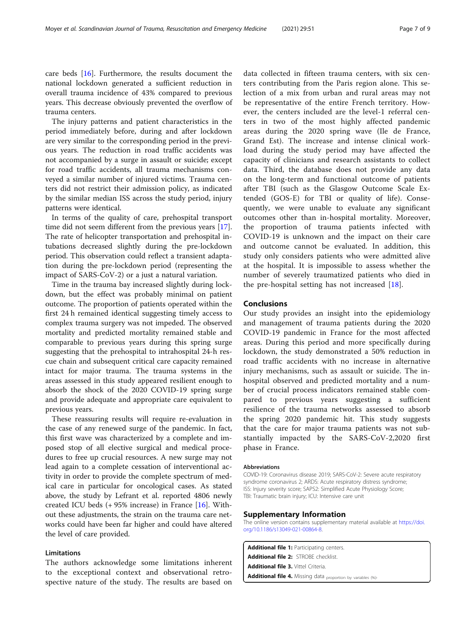<span id="page-6-0"></span>care beds [\[16](#page-8-0)]. Furthermore, the results document the national lockdown generated a sufficient reduction in overall trauma incidence of 43% compared to previous years. This decrease obviously prevented the overflow of trauma centers.

The injury patterns and patient characteristics in the period immediately before, during and after lockdown are very similar to the corresponding period in the previous years. The reduction in road traffic accidents was not accompanied by a surge in assault or suicide; except for road traffic accidents, all trauma mechanisms conveyed a similar number of injured victims. Trauma centers did not restrict their admission policy, as indicated by the similar median ISS across the study period, injury patterns were identical.

In terms of the quality of care, prehospital transport time did not seem different from the previous years [\[17](#page-8-0)]. The rate of helicopter transportation and prehospital intubations decreased slightly during the pre-lockdown period. This observation could reflect a transient adaptation during the pre-lockdown period (representing the impact of SARS-CoV-2) or a just a natural variation.

Time in the trauma bay increased slightly during lockdown, but the effect was probably minimal on patient outcome. The proportion of patients operated within the first 24 h remained identical suggesting timely access to complex trauma surgery was not impeded. The observed mortality and predicted mortality remained stable and comparable to previous years during this spring surge suggesting that the prehospital to intrahospital 24-h rescue chain and subsequent critical care capacity remained intact for major trauma. The trauma systems in the areas assessed in this study appeared resilient enough to absorb the shock of the 2020 COVID-19 spring surge and provide adequate and appropriate care equivalent to previous years.

These reassuring results will require re-evaluation in the case of any renewed surge of the pandemic. In fact, this first wave was characterized by a complete and imposed stop of all elective surgical and medical procedures to free up crucial resources. A new surge may not lead again to a complete cessation of interventional activity in order to provide the complete spectrum of medical care in particular for oncological cases. As stated above, the study by Lefrant et al. reported 4806 newly created ICU beds  $(+ 95\%$  increase) in France [[16](#page-8-0)]. Without these adjustments, the strain on the trauma care networks could have been far higher and could have altered the level of care provided.

### Limitations

The authors acknowledge some limitations inherent to the exceptional context and observational retrospective nature of the study. The results are based on

data collected in fifteen trauma centers, with six centers contributing from the Paris region alone. This selection of a mix from urban and rural areas may not be representative of the entire French territory. However, the centers included are the level-1 referral centers in two of the most highly affected pandemic areas during the 2020 spring wave (Ile de France, Grand Est). The increase and intense clinical workload during the study period may have affected the capacity of clinicians and research assistants to collect data. Third, the database does not provide any data on the long-term and functional outcome of patients after TBI (such as the Glasgow Outcome Scale Extended (GOS-E) for TBI or quality of life). Consequently, we were unable to evaluate any significant outcomes other than in-hospital mortality. Moreover, the proportion of trauma patients infected with COVID-19 is unknown and the impact on their care and outcome cannot be evaluated. In addition, this study only considers patients who were admitted alive at the hospital. It is impossible to assess whether the number of severely traumatized patients who died in the pre-hospital setting has not increased  $[18]$  $[18]$ .

#### Conclusions

Our study provides an insight into the epidemiology and management of trauma patients during the 2020 COVID-19 pandemic in France for the most affected areas. During this period and more specifically during lockdown, the study demonstrated a 50% reduction in road traffic accidents with no increase in alternative injury mechanisms, such as assault or suicide. The inhospital observed and predicted mortality and a number of crucial process indicators remained stable compared to previous years suggesting a sufficient resilience of the trauma networks assessed to absorb the spring 2020 pandemic hit. This study suggests that the care for major trauma patients was not substantially impacted by the SARS-CoV-2,2020 first phase in France.

#### Abbreviations

COVID-19: Coronavirus disease 2019; SARS-CoV-2: Severe acute respiratory syndrome coronavirus 2; ARDS: Acute respiratory distress syndrome; ISS: Injury severity score; SAPS2: Simplified Acute Physiology Score; TBI: Traumatic brain injury; ICU: Intensive care unit

#### Supplementary Information

The online version contains supplementary material available at [https://doi.](https://doi.org/10.1186/s13049-021-00864-8) [org/10.1186/s13049-021-00864-8.](https://doi.org/10.1186/s13049-021-00864-8)

Additional file 1: Participating centers. Additional file 2: STROBE checklist. Additional file 3. Vittel Criteria Additional file 4. Missing data proportion by variables (%).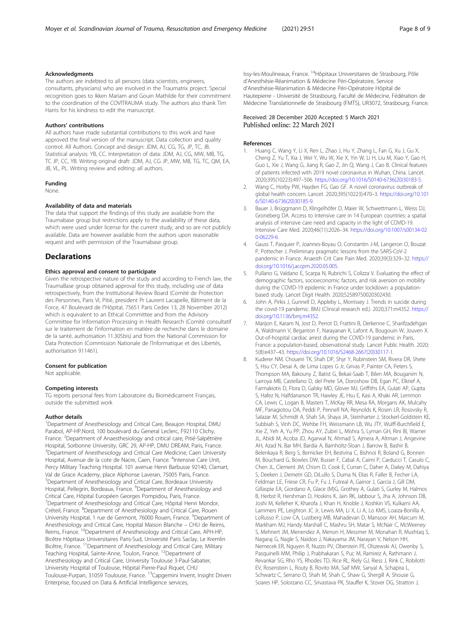#### <span id="page-7-0"></span>Acknowledgments

The authors are indebted to all persons (data scientists, engineers, consultants, physicians) who are involved in the Traumatrix project. Special recognition goes to Ikken Mariam and Gouin Mathilde for their commitment to the coordination of the COVITRAUMA study. The authors also thank Tim Harris for his kindness to edit the manuscript.

#### Authors' contributions

All authors have made substantial contributions to this work and have approved the final version of the manuscript. Data collection and quality control: All Authors. Concept and design: JDM, AJ, CG, TG, JP, TC, JB. Statistical analysis: YB, CC. Interpretation of data: JDM, AJ, CG, MW, MB, TG, TC JP, CC, YB. Writing original draft: JDM, AJ, CG JP, MW, MB, TG, TC, QM, EA, JB, VL, PL. Writing review and editing: all authors.

#### Funding

None.

#### Availability of data and materials

The data that support the findings of this study are available from the Traumabase group but restrictions apply to the availability of these data, which were used under license for the current study, and so are not publicly available. Data are however available from the authors upon reasonable request and with permission of the Traumabase group.

#### **Declarations**

#### Ethics approval and consent to participate

Given the retrospective nature of the study and according to French law, the TraumaBase group obtained approval for this study, including use of data retrospectively, from the Institutional Review Board (Comité de Protection des Personnes, Paris VI, Pitié, president Pr Laurent Lacapelle, Bâtiment de la Force, 47 Boulevard de l"Hôpital, 75651 Paris Cedex 13, 28 November 2012) which is equivalent to an Ethical Committee and from the Advisory Committee for Information Processing in Health Research (Comité consultatif sur le traitement de l'information en matière de recherche dans le domaine de la santé, authorisation 11.305bis) and from the National Commission for Data Protection (Commission Nationale de l'Informatique et des Libertés, authorisation 911461).

#### Consent for publication

Not applicable.

#### Competing interests

TG reports personal fees from Laboratoire du Biomédicament Français, outside the submitted work

#### Author details

<sup>1</sup>Department of Anesthesiology and Critical Care, Beaujon Hospital, DMU Parabol, AP-HP.Nord, 100 boulevard du General Leclerc, F92110 Clichy, France. <sup>2</sup>Department of Anaesthesiology and critical care, Pitié-Salpêtrière Hospital, Sorbonne University, GRC 29, AP-HP, DMU DREAM, Paris, France. <sup>3</sup>Department of Anesthesiology and Critical Care Medicine, Caen University Hospital, Avenue de la cote de Nacre, Caen, France. <sup>4</sup>Intensive Care Unit, Percy Military Teaching Hospital. 101 avenue Henri Barbusse 92140, Clamart, Val de Grace Academy, place Alphonse Laveran, 75005 Paris, France. 5 Department of Anesthesiology and Critical Care, Bordeaux University Hospital, Pellegrin, Bordeaux, France. <sup>6</sup>Department of Anesthesiology and Critical Care, Hôpital Européen Georges Pompidou, Paris, France. 7 Department of Anesthesiology and Critical Care, Hôpital Henri Mondor, Créteil, France. <sup>8</sup>Department of Anesthesiology and Critical Care, Rouen University Hospital, 1 rue de Germont, 76000 Rouen, France. <sup>9</sup>Department of Anesthesiology and Critical Care, Hopital Maison Blanche – CHU de Reims, Reims, France. <sup>10</sup>Department of Anesthesiology and Critical Care, APH-HP, Bicêtre Hôpitaux Universitaires Paris-Sud, Université Paris Saclay, Le Kremlin Bicêtre, France. 11Department of Anesthesiology and Critical Care, Military Teaching Hospital, Sainte-Anne, Toulon, France. <sup>12</sup>Department of Anesthesiology and Critical Care, University Toulouse 3-Paul-Sabatier, University Hospital of Toulouse, Hôpital Pierre-Paul Riquet, CHU Toulouse-Purpan, 31059 Toulouse, France. <sup>13</sup>Capgemini Invent, Insight Driven Enterprise, focused on Data & Artificial Intelligence services,

Issy-les-Moulineaux, France. 14Hôpitaux Universitaires de Strasbourg, Pôle d'Anesthésie-Réanimation & Médecine Péri-Opératoire, Service d'Anesthésie-Réanimation & Médecine Péri-Opératoire Hôpital de Hautepierre - Université de Strasbourg, Faculté de Médecine, Fédération de Médecine Translationnelle de Strasbourg (FMTS), UR3072, Strasbourg, France.

#### Received: 28 December 2020 Accepted: 5 March 2021 Published online: 22 March 2021

#### References

- Huang C, Wang Y, Li X, Ren L, Zhao J, Hu Y, Zhang L, Fan G, Xu J, Gu X, Cheng Z, Yu T, Xia J, Wei Y, Wu W, Xie X, Yin W, Li H, Liu M, Xiao Y, Gao H, Guo L, Xie J, Wang G, Jiang R, Gao Z, Jin Q, Wang J, Cao B. Clinical features of patients infected with 2019 novel coronavirus in Wuhan, China. Lancet. 2020;395(10223):497–506. [https://doi.org/10.1016/S0140-6736\(20\)30183-5](https://doi.org/10.1016/S0140-6736(20)30183-5).
- 2. Wang C, Horby PW, Hayden FG, Gao GF. A novel coronavirus outbreak of global health concern. Lancet. 2020;395(10223):470–3. [https://doi.org/10.101](https://doi.org/10.1016/S0140-6736(20)30185-9) [6/S0140-6736\(20\)30185-9](https://doi.org/10.1016/S0140-6736(20)30185-9).
- 3. Bauer J, Brüggmann D, Klingelhöfer D, Maier W, Schwettmann L, Weiss DJ, Groneberg DA. Access to intensive care in 14 European countries: a spatial analysis of intensive care need and capacity in the light of COVID-19. Intensive Care Med. 2020;46(11):2026–34. [https://doi.org/10.1007/s00134-02](https://doi.org/10.1007/s00134-020-06229-6) [0-06229-6.](https://doi.org/10.1007/s00134-020-06229-6)
- 4. Gauss T, Pasquier P, Joannes-Boyau O, Constantin J-M, Langeron O, Bouzat P, Pottecher J. Preliminary pragmatic lessons from the SARS-CoV-2 pandemic in France. Anaesth Crit Care Pain Med. 2020;39(3):329–32. [https://](https://doi.org/10.1016/j.accpm.2020.05.005) [doi.org/10.1016/j.accpm.2020.05.005](https://doi.org/10.1016/j.accpm.2020.05.005).
- 5. Pullano G, Valdano E, Scarpa N, Rubrichi S, Colizza V. Evaluating the effect of demographic factors, socioeconomic factors, and risk aversion on mobility during the COVID-19 epidemic in France under lockdown: a populationbased study. Lancet Digit Health. 2020;S2589750020302430.
- 6. John A, Pirkis J, Gunnell D, Appleby L, Morrissey J. Trends in suicide during the covid-19 pandemic. BMJ (Clinical research ed.). 2020;371:m4352. [https://](https://doi.org/10.1136/bmj.m4352) [doi.org/10.1136/bmj.m4352](https://doi.org/10.1136/bmj.m4352).
- 7. Marijon E, Karam N, Jost D, Perrot D, Frattini B, Derkenne C, Sharifzadehgan A, Waldmann V, Beganton F, Narayanan K, Lafont A, Bougouin W, Jouven X. Out-of-hospital cardiac arrest during the COVID-19 pandemic in Paris, France: a population-based, observational study. Lancet Public Health. 2020; 5(8):e437–43. [https://doi.org/10.1016/S2468-2667\(20\)30117-1.](https://doi.org/10.1016/S2468-2667(20)30117-1)
- 8. Kuderer NM, Choueiri TK, Shah DP, Shyr Y, Rubinstein SM, Rivera DR, Shete S, Hsu CY, Desai A, de Lima Lopes G Jr, Grivas P, Painter CA, Peters S, Thompson MA, Bakouny Z, Batist G, Bekaii-Saab T, Bilen MA, Bouganim N, Larroya MB, Castellano D, del Prete SA, Doroshow DB, Egan PC, Elkrief A, Farmakiotis D, Flora D, Galsky MD, Glover MJ, Griffiths EA, Gulati AP, Gupta S, Hafez N, Halfdanarson TR, Hawley JE, Hsu E, Kasi A, Khaki AR, Lemmon CA, Lewis C, Logan B, Masters T, McKay RR, Mesa RA, Morgans AK, Mulcahy MF, Panagiotou OA, Peddi P, Pennell NA, Reynolds K, Rosen LR, Rosovsky R, Salazar M, Schmidt A, Shah SA, Shaya JA, Steinharter J, Stockerl-Goldstein KE, Subbiah S, Vinh DC, Wehbe FH, Weissmann LB, Wu JTY, Wulff-Burchfield E, Xie Z, Yeh A, Yu PP, Zhou AY, Zubiri L, Mishra S, Lyman GH, Rini BI, Warner JL, Abidi M, Acoba JD, Agarwal N, Ahmad S, Ajmera A, Altman J, Angevine AH, Azad N, Bar MH, Bardia A, Barnholtz-Sloan J, Barrow B, Bashir B, Belenkaya R, Berg S, Bernicker EH, Bestvina C, Bishnoi R, Boland G, Bonnen M, Bouchard G, Bowles DW, Busser F, Cabal A, Caimi P, Carducci T, Casulo C, Chen JL, Clement JM, Chism D, Cook E, Curran C, Daher A, Dailey M, Dahiya S, Deeken J, Demetri GD, DiLullo S, Duma N, Elias R, Faller B, Fecher LA, Feldman LE, Friese CR, Fu P, Fu J, Futreal A, Gainor J, Garcia J, Gill DM, Gillaspie EA, Giordano A, Glace (M)G, Grothey A, Gulati S, Gurley M, Halmos B, Herbst R, Hershman D, Hoskins K, Jain RK, Jabbour S, Jha A, Johnson DB, Joshi M, Kelleher K, Kharofa J, Khan H, Knoble J, Koshkin VS, Kulkarni AA, Lammers PE, Leighton JC Jr, Lewis MA, Li X, Li A, Lo KMS, Loaiza-Bonilla A, LoRusso P, Low CA, Lustberg MB, Mahadevan D, Mansoor AH, Marcum M, Markham MJ, Handy Marshall C, Mashru SH, Matar S, McNair C, McWeeney S, Mehnert JM, Menendez A, Menon H, Messmer M, Monahan R, Mushtaq S, Nagaraj G, Nagle S, Naidoo J, Nakayama JM, Narayan V, Nelson HH, Nemecek ER, Nguyen R, Nuzzo PV, Oberstein PE, Olszewski AJ, Owenby S, Pasquinelli MM, Philip J, Prabhakaran S, Puc M, Ramirez A, Rathmann J, Revankar SG, Rho YS, Rhodes TD, Rice RL, Riely GJ, Riess J, Rink C, Robilotti EV, Rosenstein L, Routy B, Rovito MA, Saif MW, Sanyal A, Schapira L, Schwartz C, Serrano O, Shah M, Shah C, Shaw G, Shergill A, Shouse G, Soares HP, Solorzano CC, Srivastava PK, Stauffer K, Stover DG, Stratton J,